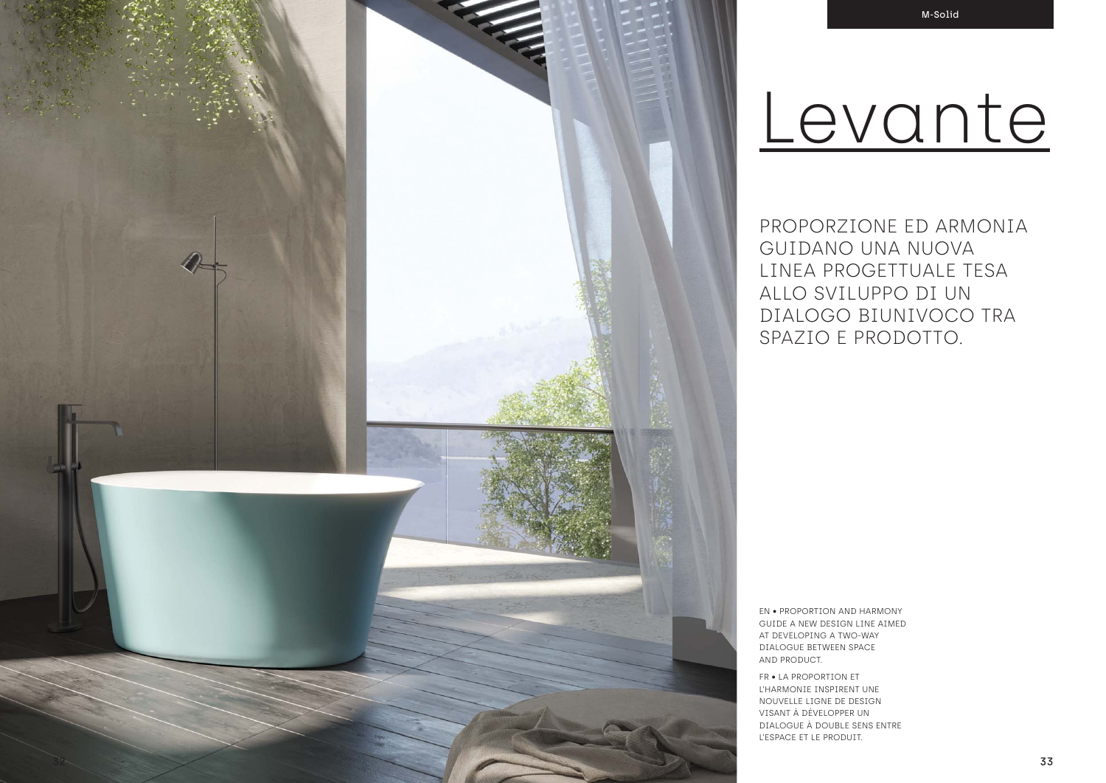PROPORZIONE ED ARMONIA GUIDANO UNA NUOVA LINEA PROGETTUALE TESA ALLO SVILUPPO DI UN DIALOGO BIUNIVOCO TRA SPAZIO E PRODOTTO.

EN • PROPORTION AND HARMONY GUIDE A NEW DESIGN LINE AIMED AT DEVELOPING A TWO-WAY DIALOGUE BETWEEN SPACE AND PRODUCT.

FR • LA PROPORTION ET L'HARMONIE INSPIRENT UNE NOUVELLE LIGNE DE DESIGN VISANT À DÉVELOPPER UN DIALOGUE À DOUBLE SENS ENTRE L'ESPACE ET LE PRODUIT.

# Levante